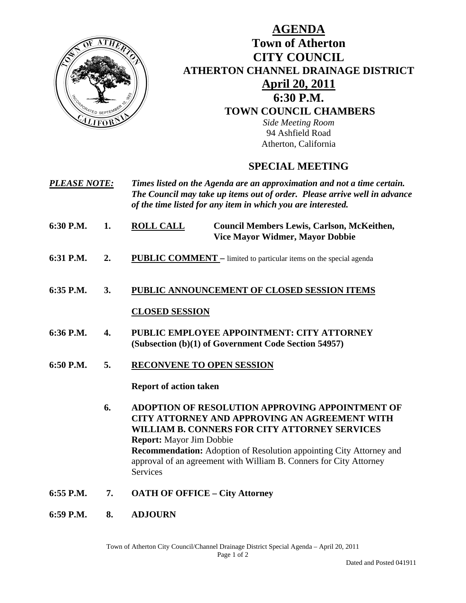

# **AGENDA Town of Atherton CITY COUNCIL ATHERTON CHANNEL DRAINAGE DISTRICT April 20, 2011 6:30 P.M. TOWN COUNCIL CHAMBERS**

*Side Meeting Room*  94 Ashfield Road Atherton, California

# **SPECIAL MEETING**

- *PLEASE NOTE: Times listed on the Agenda are an approximation and not a time certain. The Council may take up items out of order. Please arrive well in advance of the time listed for any item in which you are interested.*
- **6:30 P.M. 1. ROLL CALL Council Members Lewis, Carlson, McKeithen, Vice Mayor Widmer, Mayor Dobbie**
- **6:31 P.M. 2. PUBLIC COMMENT** limited to particular items on the special agenda
- **6:35 P.M. 3. PUBLIC ANNOUNCEMENT OF CLOSED SESSION ITEMS CLOSED SESSION**
- **6:36 P.M. 4. PUBLIC EMPLOYEE APPOINTMENT: CITY ATTORNEY (Subsection (b)(1) of Government Code Section 54957)**
- **6:50 P.M. 5. RECONVENE TO OPEN SESSION**

 **Report of action taken** 

 **6. ADOPTION OF RESOLUTION APPROVING APPOINTMENT OF CITY ATTORNEY AND APPROVING AN AGREEMENT WITH WILLIAM B. CONNERS FOR CITY ATTORNEY SERVICES Report:** Mayor Jim Dobbie **Recommendation:** Adoption of Resolution appointing City Attorney and approval of an agreement with William B. Conners for City Attorney Services

- **6:55 P.M. 7. OATH OF OFFICE City Attorney**
- **6:59 P.M. 8. ADJOURN**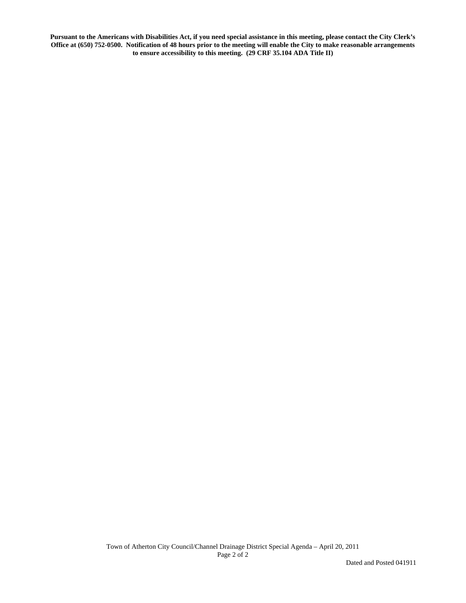**Pursuant to the Americans with Disabilities Act, if you need special assistance in this meeting, please contact the City Clerk's Office at (650) 752-0500. Notification of 48 hours prior to the meeting will enable the City to make reasonable arrangements to ensure accessibility to this meeting. (29 CRF 35.104 ADA Title II)**